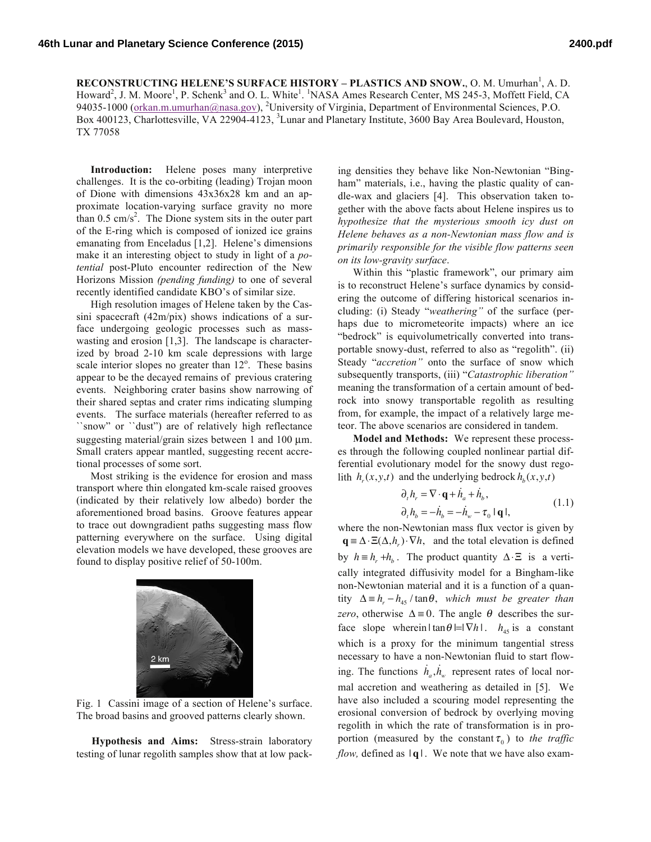**RECONSTRUCTING HELENE'S SURFACE HISTORY – PLASTICS AND SNOW., O. M. Umurhan<sup>1</sup>, A. D.** Howard<sup>2</sup>, J. M. Moore<sup>1</sup>, P. Schenk<sup>3</sup> and O. L. White<sup>1</sup>. <sup>1</sup>NASA Ames Research Center, MS 245-3, Moffett Field, CA 94035-1000 (orkan.m.umurhan@nasa.gov), <sup>2</sup>University of Virginia, Department of Environmental Sciences, P.O. Box 400123, Charlottesville, VA 22904-4123, <sup>3</sup>Lunar and Planetary Institute, 3600 Bay Area Boulevard, Houston, TX 77058

**Introduction:** Helene poses many interpretive challenges. It is the co-orbiting (leading) Trojan moon of Dione with dimensions 43x36x28 km and an approximate location-varying surface gravity no more than  $0.5 \text{ cm/s}^2$ . The Dione system sits in the outer part of the E-ring which is composed of ionized ice grains emanating from Enceladus [1,2]. Helene's dimensions make it an interesting object to study in light of a *potential* post-Pluto encounter redirection of the New Horizons Mission *(pending funding)* to one of several recently identified candidate KBO's of similar size.

High resolution images of Helene taken by the Cassini spacecraft (42m/pix) shows indications of a surface undergoing geologic processes such as masswasting and erosion [1,3]. The landscape is characterized by broad 2-10 km scale depressions with large scale interior slopes no greater than  $12^{\circ}$ . These basins appear to be the decayed remains of previous cratering events. Neighboring crater basins show narrowing of their shared septas and crater rims indicating slumping events. The surface materials (hereafter referred to as ``snow" or ``dust") are of relatively high reflectance suggesting material/grain sizes between 1 and 100  $\mu$ m. Small craters appear mantled, suggesting recent accretional processes of some sort.

Most striking is the evidence for erosion and mass transport where thin elongated km-scale raised grooves (indicated by their relatively low albedo) border the aforementioned broad basins. Groove features appear to trace out downgradient paths suggesting mass flow patterning everywhere on the surface. Using digital elevation models we have developed, these grooves are found to display positive relief of 50-100m.



Fig. 1 Cassini image of a section of Helene's surface. The broad basins and grooved patterns clearly shown.

**Hypothesis and Aims:** Stress-strain laboratory testing of lunar regolith samples show that at low pack-

ing densities they behave like Non-Newtonian "Bingham" materials, i.e., having the plastic quality of candle-wax and glaciers [4]. This observation taken together with the above facts about Helene inspires us to *hypothesize that the mysterious smooth icy dust on Helene behaves as a non-Newtonian mass flow and is primarily responsible for the visible flow patterns seen on its low-gravity surface*.

Within this "plastic framework", our primary aim is to reconstruct Helene's surface dynamics by considering the outcome of differing historical scenarios including: (i) Steady "*weathering"* of the surface (perhaps due to micrometeorite impacts) where an ice "bedrock" is equivolumetrically converted into transportable snowy-dust, referred to also as "regolith". (ii) Steady "*accretion"* onto the surface of snow which subsequently transports, (iii) "*Catastrophic liberation"* meaning the transformation of a certain amount of bedrock into snowy transportable regolith as resulting from, for example, the impact of a relatively large meteor. The above scenarios are considered in tandem.

**Model and Methods:** We represent these processes through the following coupled nonlinear partial differential evolutionary model for the snowy dust regolith  $h_r(x, y, t)$  and the underlying bedrock  $h_b(x, y, t)$ 

$$
\partial_t h_r = \nabla \cdot \mathbf{q} + \dot{h}_a + \dot{h}_b, \n\partial_t h_b = -\dot{h}_b = -\dot{h}_w - \tau_0 \mid \mathbf{q} \mid,
$$
\n(1.1)

where the non-Newtonian mass flux vector is given by  $\mathbf{q} = \Delta \cdot \Xi(\Delta, h_r) \cdot \nabla h$ , and the total elevation is defined by  $h \equiv h_r + h_b$ . The product quantity  $\Delta \cdot \Xi$  is a vertically integrated diffusivity model for a Bingham-like non-Newtonian material and it is a function of a quantity  $\Delta = h_r - h_{45} / \tan \theta$ , *which must be greater than zero*, otherwise  $\Delta = 0$ . The angle  $\theta$  describes the surface slope wherein  $|\tan \theta| = |\nabla h|$ .  $h_{45}$  is a constant which is a proxy for the minimum tangential stress necessary to have a non-Newtonian fluid to start flowing. The functions  $\dot{h}_a$ ,  $\dot{h}_w$  represent rates of local normal accretion and weathering as detailed in [5]. We have also included a scouring model representing the erosional conversion of bedrock by overlying moving regolith in which the rate of transformation is in proportion (measured by the constant  $\tau_0$ ) to *the traffic flow,* defined as  $|q|$ . We note that we have also exam